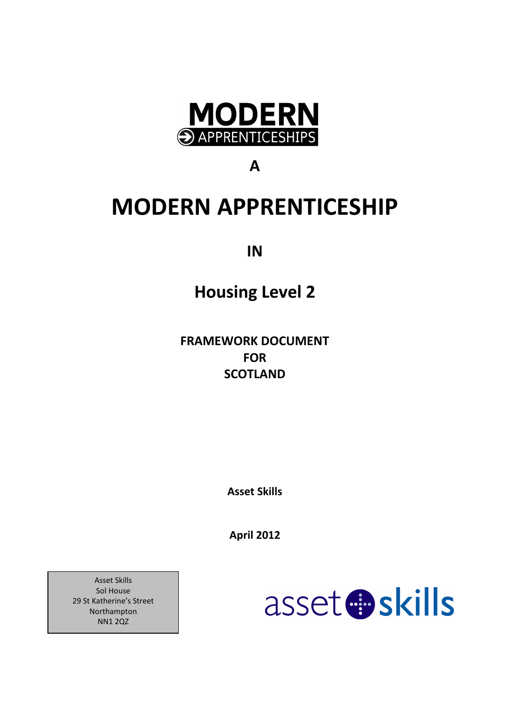

A

# MODERN APPRENTICESHIP

IN

# Housing Level 2

FRAMEWORK DOCUMENT FOR **SCOTLAND** 

Asset Skills

April 2012

asset **B**skills

Asset Skills Sol House 29 St Katherine's Street Northampton NN1 2QZ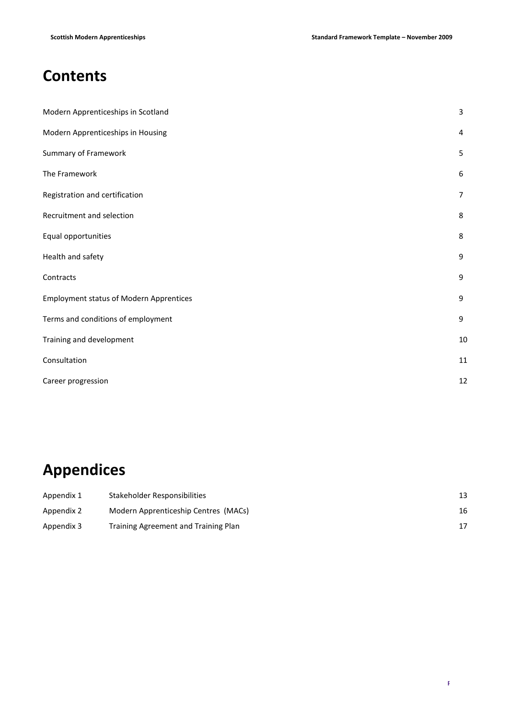# **Contents**

| Modern Apprenticeships in Scotland             | 3              |
|------------------------------------------------|----------------|
| Modern Apprenticeships in Housing              | 4              |
| Summary of Framework                           | 5              |
| The Framework                                  | 6              |
| Registration and certification                 | $\overline{7}$ |
| Recruitment and selection                      | 8              |
| Equal opportunities                            | 8              |
| Health and safety                              | 9              |
| Contracts                                      | 9              |
| <b>Employment status of Modern Apprentices</b> | 9              |
| Terms and conditions of employment             | 9              |
| Training and development                       | $10\,$         |
| Consultation                                   | 11             |
| Career progression                             | 12             |

# Appendices

| Appendix 1 | Stakeholder Responsibilities         | 13 |
|------------|--------------------------------------|----|
| Appendix 2 | Modern Apprenticeship Centres (MACs) | 16 |
| Appendix 3 | Training Agreement and Training Plan |    |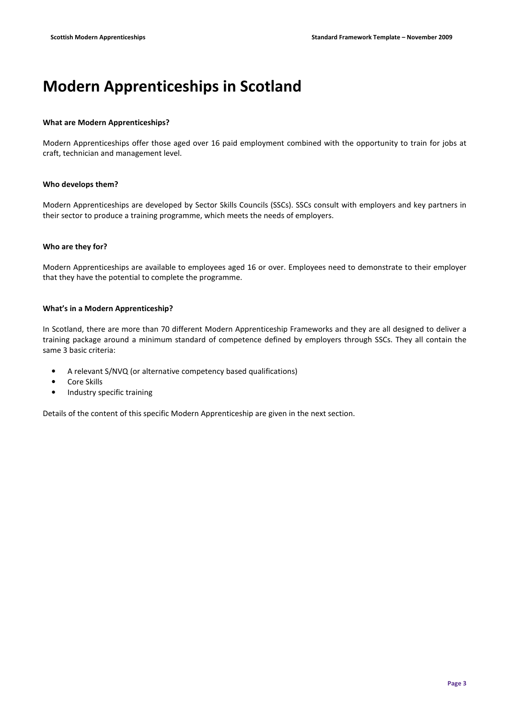# Modern Apprenticeships in Scotland

## What are Modern Apprenticeships?

Modern Apprenticeships offer those aged over 16 paid employment combined with the opportunity to train for jobs at craft, technician and management level.

## Who develops them?

Modern Apprenticeships are developed by Sector Skills Councils (SSCs). SSCs consult with employers and key partners in their sector to produce a training programme, which meets the needs of employers.

## Who are they for?

Modern Apprenticeships are available to employees aged 16 or over. Employees need to demonstrate to their employer that they have the potential to complete the programme.

## What's in a Modern Apprenticeship?

In Scotland, there are more than 70 different Modern Apprenticeship Frameworks and they are all designed to deliver a training package around a minimum standard of competence defined by employers through SSCs. They all contain the same 3 basic criteria:

- A relevant S/NVQ (or alternative competency based qualifications)
- Core Skills
- Industry specific training

Details of the content of this specific Modern Apprenticeship are given in the next section.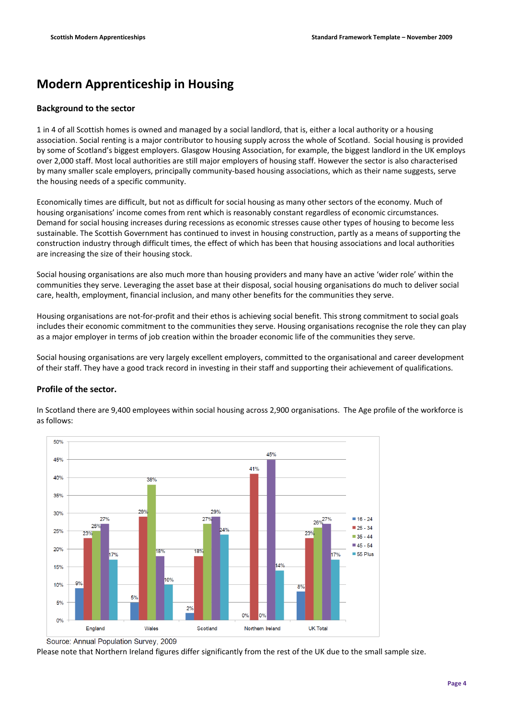# Modern Apprenticeship in Housing

## Background to the sector

1 in 4 of all Scottish homes is owned and managed by a social landlord, that is, either a local authority or a housing association. Social renting is a major contributor to housing supply across the whole of Scotland. Social housing is provided by some of Scotland's biggest employers. Glasgow Housing Association, for example, the biggest landlord in the UK employs over 2,000 staff. Most local authorities are still major employers of housing staff. However the sector is also characterised by many smaller scale employers, principally community-based housing associations, which as their name suggests, serve the housing needs of a specific community.

Economically times are difficult, but not as difficult for social housing as many other sectors of the economy. Much of housing organisations' income comes from rent which is reasonably constant regardless of economic circumstances. Demand for social housing increases during recessions as economic stresses cause other types of housing to become less sustainable. The Scottish Government has continued to invest in housing construction, partly as a means of supporting the construction industry through difficult times, the effect of which has been that housing associations and local authorities are increasing the size of their housing stock.

Social housing organisations are also much more than housing providers and many have an active 'wider role' within the communities they serve. Leveraging the asset base at their disposal, social housing organisations do much to deliver social care, health, employment, financial inclusion, and many other benefits for the communities they serve.

Housing organisations are not-for-profit and their ethos is achieving social benefit. This strong commitment to social goals includes their economic commitment to the communities they serve. Housing organisations recognise the role they can play as a major employer in terms of job creation within the broader economic life of the communities they serve.

Social housing organisations are very largely excellent employers, committed to the organisational and career development of their staff. They have a good track record in investing in their staff and supporting their achievement of qualifications.

## Profile of the sector.



In Scotland there are 9,400 employees within social housing across 2,900 organisations. The Age profile of the workforce is as follows:

Please note that Northern Ireland figures differ significantly from the rest of the UK due to the small sample size.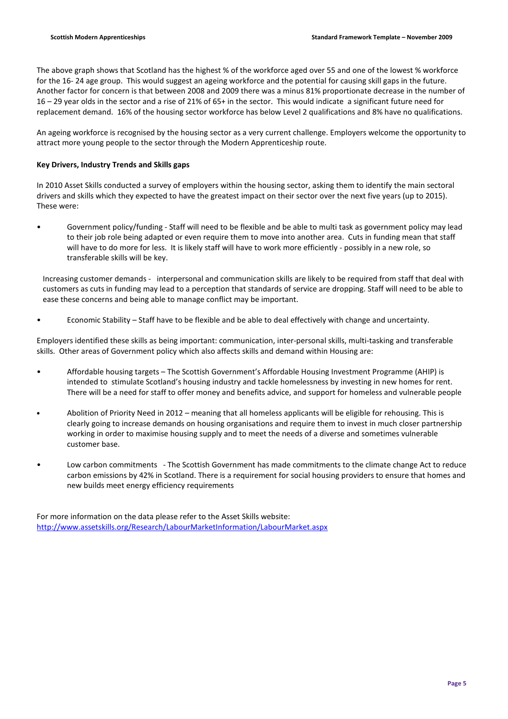The above graph shows that Scotland has the highest % of the workforce aged over 55 and one of the lowest % workforce for the 16- 24 age group. This would suggest an ageing workforce and the potential for causing skill gaps in the future. Another factor for concern is that between 2008 and 2009 there was a minus 81% proportionate decrease in the number of 16 – 29 year olds in the sector and a rise of 21% of 65+ in the sector. This would indicate a significant future need for replacement demand. 16% of the housing sector workforce has below Level 2 qualifications and 8% have no qualifications.

An ageing workforce is recognised by the housing sector as a very current challenge. Employers welcome the opportunity to attract more young people to the sector through the Modern Apprenticeship route.

## Key Drivers, Industry Trends and Skills gaps

In 2010 Asset Skills conducted a survey of employers within the housing sector, asking them to identify the main sectoral drivers and skills which they expected to have the greatest impact on their sector over the next five years (up to 2015). These were:

• Government policy/funding - Staff will need to be flexible and be able to multi task as government policy may lead to their job role being adapted or even require them to move into another area. Cuts in funding mean that staff will have to do more for less. It is likely staff will have to work more efficiently - possibly in a new role, so transferable skills will be key.

 Increasing customer demands - interpersonal and communication skills are likely to be required from staff that deal with customers as cuts in funding may lead to a perception that standards of service are dropping. Staff will need to be able to ease these concerns and being able to manage conflict may be important.

• Economic Stability – Staff have to be flexible and be able to deal effectively with change and uncertainty.

Employers identified these skills as being important: communication, inter-personal skills, multi-tasking and transferable skills. Other areas of Government policy which also affects skills and demand within Housing are:

- Affordable housing targets The Scottish Government's Affordable Housing Investment Programme (AHIP) is intended to stimulate Scotland's housing industry and tackle homelessness by investing in new homes for rent. There will be a need for staff to offer money and benefits advice, and support for homeless and vulnerable people
- Abolition of Priority Need in 2012 meaning that all homeless applicants will be eligible for rehousing. This is clearly going to increase demands on housing organisations and require them to invest in much closer partnership working in order to maximise housing supply and to meet the needs of a diverse and sometimes vulnerable customer base.
- Low carbon commitments The Scottish Government has made commitments to the climate change Act to reduce carbon emissions by 42% in Scotland. There is a requirement for social housing providers to ensure that homes and new builds meet energy efficiency requirements

For more information on the data please refer to the Asset Skills website: http://www.assetskills.org/Research/LabourMarketInformation/LabourMarket.aspx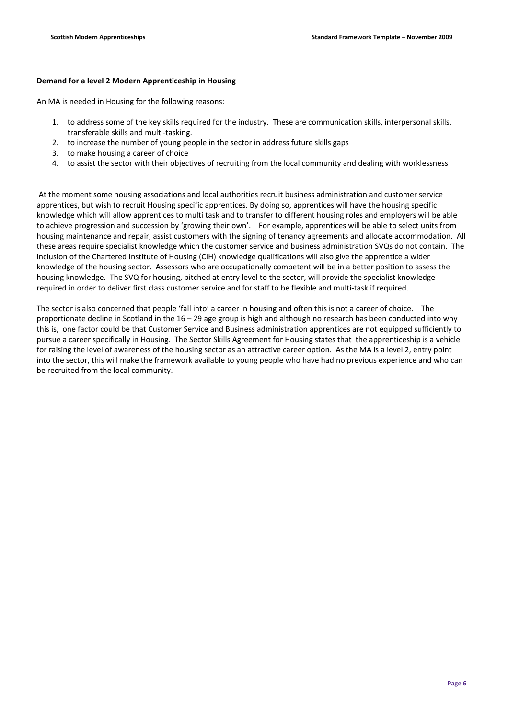## Demand for a level 2 Modern Apprenticeship in Housing

An MA is needed in Housing for the following reasons:

- 1. to address some of the key skills required for the industry. These are communication skills, interpersonal skills, transferable skills and multi-tasking.
- 2. to increase the number of young people in the sector in address future skills gaps
- 3. to make housing a career of choice
- 4. to assist the sector with their objectives of recruiting from the local community and dealing with worklessness

 At the moment some housing associations and local authorities recruit business administration and customer service apprentices, but wish to recruit Housing specific apprentices. By doing so, apprentices will have the housing specific knowledge which will allow apprentices to multi task and to transfer to different housing roles and employers will be able to achieve progression and succession by 'growing their own'. For example, apprentices will be able to select units from housing maintenance and repair, assist customers with the signing of tenancy agreements and allocate accommodation. All these areas require specialist knowledge which the customer service and business administration SVQs do not contain. The inclusion of the Chartered Institute of Housing (CIH) knowledge qualifications will also give the apprentice a wider knowledge of the housing sector. Assessors who are occupationally competent will be in a better position to assess the housing knowledge. The SVQ for housing, pitched at entry level to the sector, will provide the specialist knowledge required in order to deliver first class customer service and for staff to be flexible and multi-task if required.

The sector is also concerned that people 'fall into' a career in housing and often this is not a career of choice. The proportionate decline in Scotland in the 16 – 29 age group is high and although no research has been conducted into why this is, one factor could be that Customer Service and Business administration apprentices are not equipped sufficiently to pursue a career specifically in Housing. The Sector Skills Agreement for Housing states that the apprenticeship is a vehicle for raising the level of awareness of the housing sector as an attractive career option. As the MA is a level 2, entry point into the sector, this will make the framework available to young people who have had no previous experience and who can be recruited from the local community.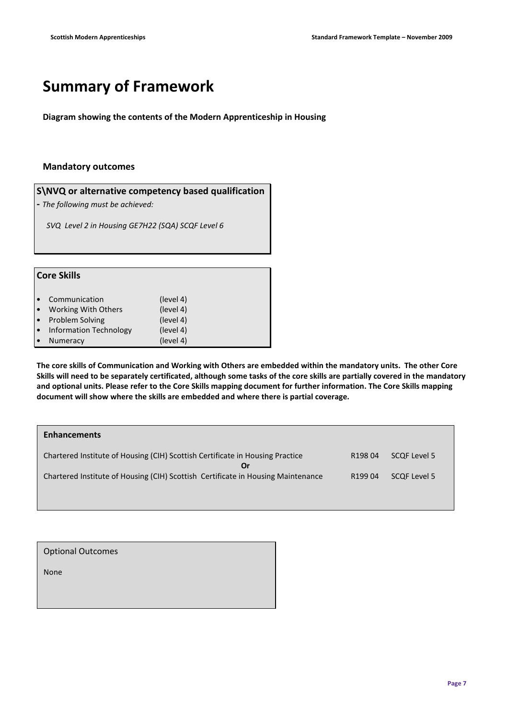# Summary of Framework

Diagram showing the contents of the Modern Apprenticeship in Housing

## Mandatory outcomes

S\NVQ or alternative competency based qualification

- The following must be achieved:

SVQ Level 2 in Housing GE7H22 (SQA) SCQF Level 6

| <b>Core Skills</b> |                        |           |
|--------------------|------------------------|-----------|
|                    | Communication          | (level 4) |
| $\bullet$          | Working With Others    | (level 4) |
|                    | <b>Problem Solving</b> | (level 4) |
| $\bullet$          | Information Technology | (level 4) |
|                    | Numeracy               | (level 4) |

The core skills of Communication and Working with Others are embedded within the mandatory units. The other Core Skills will need to be separately certificated, although some tasks of the core skills are partially covered in the mandatory and optional units. Please refer to the Core Skills mapping document for further information. The Core Skills mapping document will show where the skills are embedded and where there is partial coverage.

| <b>Enhancements</b>                                                                 |                     |              |
|-------------------------------------------------------------------------------------|---------------------|--------------|
| Chartered Institute of Housing (CIH) Scottish Certificate in Housing Practice<br>Or | R <sub>198</sub> 04 | SCOF Level 5 |
| Chartered Institute of Housing (CIH) Scottish Certificate in Housing Maintenance    | R <sub>199</sub> 04 | SCQF Level 5 |

| <b>Optional Outcomes</b> |  |
|--------------------------|--|
| None                     |  |
|                          |  |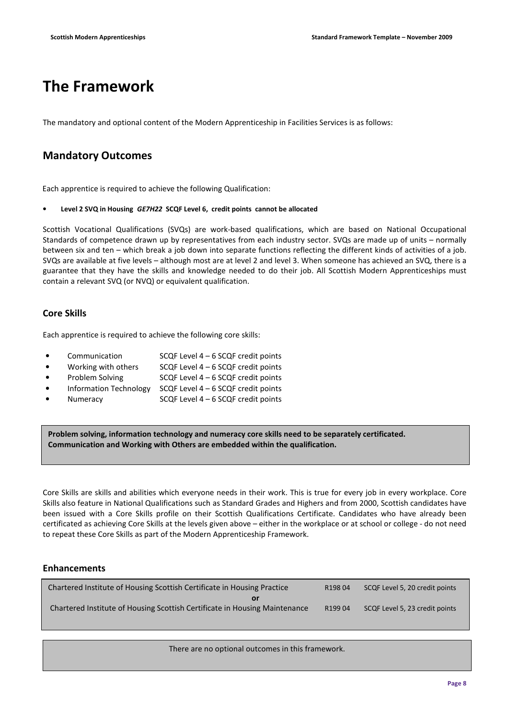# The Framework

The mandatory and optional content of the Modern Apprenticeship in Facilities Services is as follows:

## Mandatory Outcomes

Each apprentice is required to achieve the following Qualification:

## Level 2 SVQ in Housing GE7H22 SCQF Level 6, credit points cannot be allocated

Scottish Vocational Qualifications (SVQs) are work-based qualifications, which are based on National Occupational Standards of competence drawn up by representatives from each industry sector. SVQs are made up of units – normally between six and ten – which break a job down into separate functions reflecting the different kinds of activities of a job. SVQs are available at five levels – although most are at level 2 and level 3. When someone has achieved an SVQ, there is a guarantee that they have the skills and knowledge needed to do their job. All Scottish Modern Apprenticeships must contain a relevant SVQ (or NVQ) or equivalent qualification.

## Core Skills

Each apprentice is required to achieve the following core skills:

| $\bullet$ | Communication                 | SCQF Level $4-6$ SCQF credit points   |
|-----------|-------------------------------|---------------------------------------|
| $\bullet$ | Working with others           | SCQF Level $4 - 6$ SCQF credit points |
| $\bullet$ | Problem Solving               | SCQF Level $4 - 6$ SCQF credit points |
| $\bullet$ | <b>Information Technology</b> | SCQF Level $4 - 6$ SCQF credit points |
| $\bullet$ | Numeracy                      | SCQF Level $4 - 6$ SCQF credit points |
|           |                               |                                       |

Problem solving, information technology and numeracy core skills need to be separately certificated. Communication and Working with Others are embedded within the qualification.

Core Skills are skills and abilities which everyone needs in their work. This is true for every job in every workplace. Core Skills also feature in National Qualifications such as Standard Grades and Highers and from 2000, Scottish candidates have been issued with a Core Skills profile on their Scottish Qualifications Certificate. Candidates who have already been certificated as achieving Core Skills at the levels given above – either in the workplace or at school or college - do not need to repeat these Core Skills as part of the Modern Apprenticeship Framework.

## Enhancements

| Chartered Institute of Housing Scottish Certificate in Housing Practice    |        | SCQF Level 5, 20 credit points |  |
|----------------------------------------------------------------------------|--------|--------------------------------|--|
|                                                                            |        |                                |  |
| Chartered Institute of Housing Scottish Certificate in Housing Maintenance | R19904 | SCQF Level 5, 23 credit points |  |

There are no optional outcomes in this framework.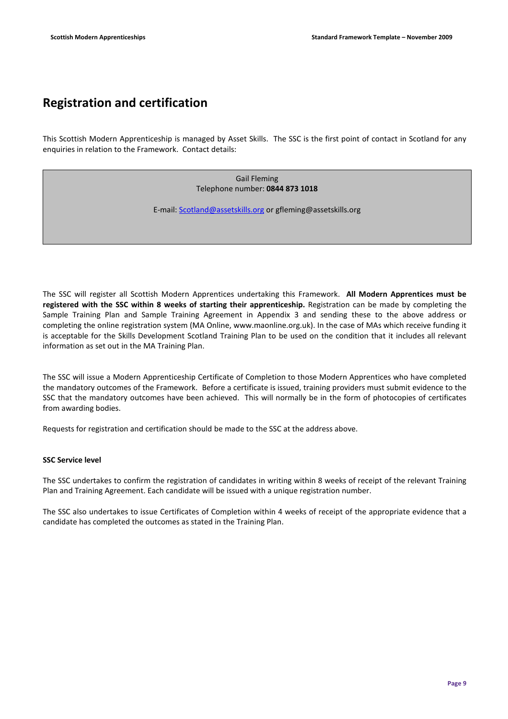## Registration and certification

This Scottish Modern Apprenticeship is managed by Asset Skills. The SSC is the first point of contact in Scotland for any enquiries in relation to the Framework. Contact details:

> Gail Fleming Telephone number: 0844 873 1018

E-mail: Scotland@assetskills.org or gfleming@assetskills.org

The SSC will register all Scottish Modern Apprentices undertaking this Framework. All Modern Apprentices must be registered with the SSC within 8 weeks of starting their apprenticeship. Registration can be made by completing the Sample Training Plan and Sample Training Agreement in Appendix 3 and sending these to the above address or completing the online registration system (MA Online, www.maonline.org.uk). In the case of MAs which receive funding it is acceptable for the Skills Development Scotland Training Plan to be used on the condition that it includes all relevant information as set out in the MA Training Plan.

The SSC will issue a Modern Apprenticeship Certificate of Completion to those Modern Apprentices who have completed the mandatory outcomes of the Framework. Before a certificate is issued, training providers must submit evidence to the SSC that the mandatory outcomes have been achieved. This will normally be in the form of photocopies of certificates from awarding bodies.

Requests for registration and certification should be made to the SSC at the address above.

## SSC Service level

The SSC undertakes to confirm the registration of candidates in writing within 8 weeks of receipt of the relevant Training Plan and Training Agreement. Each candidate will be issued with a unique registration number.

The SSC also undertakes to issue Certificates of Completion within 4 weeks of receipt of the appropriate evidence that a candidate has completed the outcomes as stated in the Training Plan.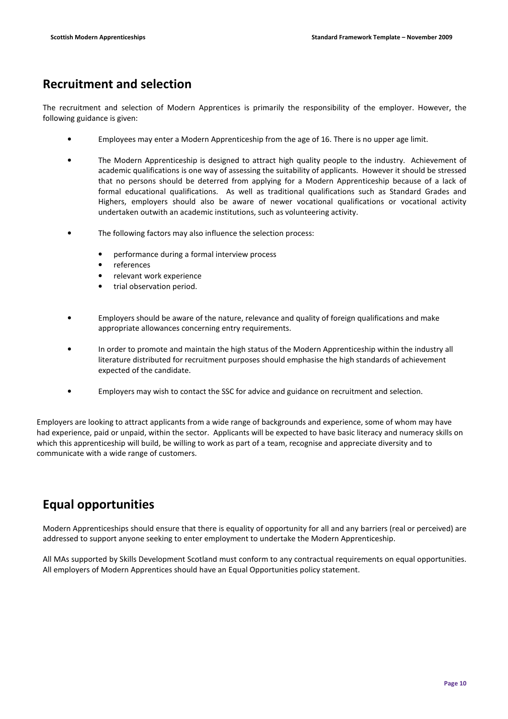## Recruitment and selection

The recruitment and selection of Modern Apprentices is primarily the responsibility of the employer. However, the following guidance is given:

- Employees may enter a Modern Apprenticeship from the age of 16. There is no upper age limit.
- The Modern Apprenticeship is designed to attract high quality people to the industry. Achievement of academic qualifications is one way of assessing the suitability of applicants. However it should be stressed that no persons should be deterred from applying for a Modern Apprenticeship because of a lack of formal educational qualifications. As well as traditional qualifications such as Standard Grades and Highers, employers should also be aware of newer vocational qualifications or vocational activity undertaken outwith an academic institutions, such as volunteering activity.
- The following factors may also influence the selection process:
	- performance during a formal interview process
	- **references**
	- relevant work experience
	- trial observation period.
- Employers should be aware of the nature, relevance and quality of foreign qualifications and make appropriate allowances concerning entry requirements.
- In order to promote and maintain the high status of the Modern Apprenticeship within the industry all literature distributed for recruitment purposes should emphasise the high standards of achievement expected of the candidate.
- Employers may wish to contact the SSC for advice and guidance on recruitment and selection.

Employers are looking to attract applicants from a wide range of backgrounds and experience, some of whom may have had experience, paid or unpaid, within the sector. Applicants will be expected to have basic literacy and numeracy skills on which this apprenticeship will build, be willing to work as part of a team, recognise and appreciate diversity and to communicate with a wide range of customers.

## Equal opportunities

Modern Apprenticeships should ensure that there is equality of opportunity for all and any barriers (real or perceived) are addressed to support anyone seeking to enter employment to undertake the Modern Apprenticeship.

All MAs supported by Skills Development Scotland must conform to any contractual requirements on equal opportunities. All employers of Modern Apprentices should have an Equal Opportunities policy statement.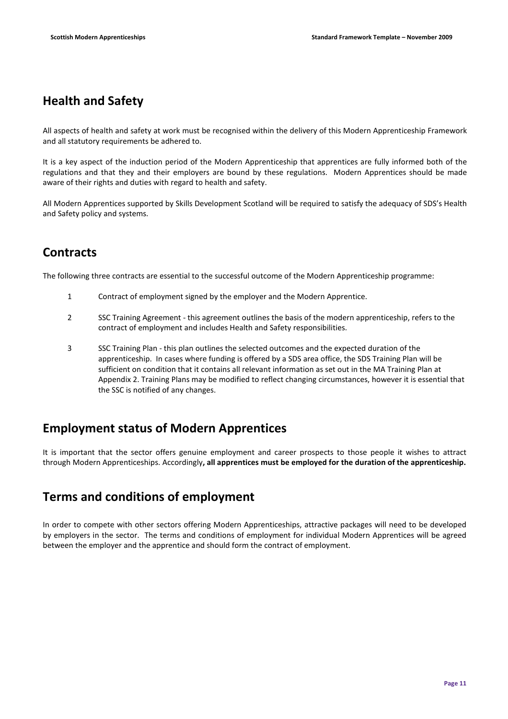# Health and Safety

All aspects of health and safety at work must be recognised within the delivery of this Modern Apprenticeship Framework and all statutory requirements be adhered to.

It is a key aspect of the induction period of the Modern Apprenticeship that apprentices are fully informed both of the regulations and that they and their employers are bound by these regulations. Modern Apprentices should be made aware of their rights and duties with regard to health and safety.

All Modern Apprentices supported by Skills Development Scotland will be required to satisfy the adequacy of SDS's Health and Safety policy and systems.

# **Contracts**

The following three contracts are essential to the successful outcome of the Modern Apprenticeship programme:

- 1 Contract of employment signed by the employer and the Modern Apprentice.
- 2 SSC Training Agreement this agreement outlines the basis of the modern apprenticeship, refers to the contract of employment and includes Health and Safety responsibilities.
- 3 SSC Training Plan this plan outlines the selected outcomes and the expected duration of the apprenticeship. In cases where funding is offered by a SDS area office, the SDS Training Plan will be sufficient on condition that it contains all relevant information as set out in the MA Training Plan at Appendix 2. Training Plans may be modified to reflect changing circumstances, however it is essential that the SSC is notified of any changes.

## Employment status of Modern Apprentices

It is important that the sector offers genuine employment and career prospects to those people it wishes to attract through Modern Apprenticeships. Accordingly, all apprentices must be employed for the duration of the apprenticeship.

## Terms and conditions of employment

In order to compete with other sectors offering Modern Apprenticeships, attractive packages will need to be developed by employers in the sector. The terms and conditions of employment for individual Modern Apprentices will be agreed between the employer and the apprentice and should form the contract of employment.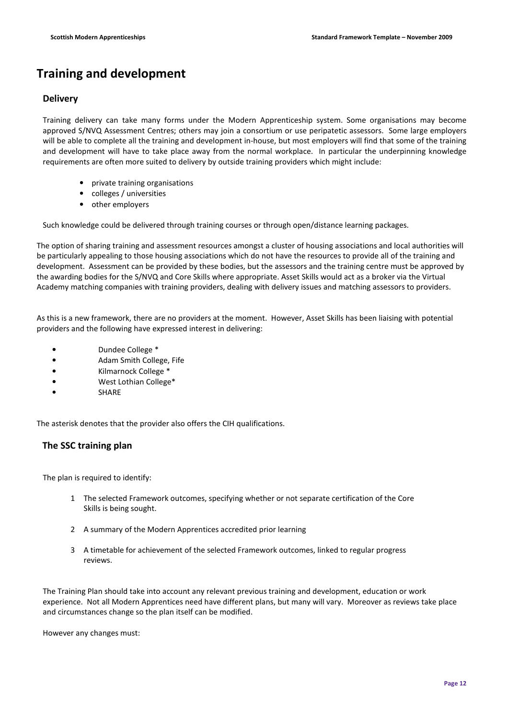# Training and development

## **Delivery**

Training delivery can take many forms under the Modern Apprenticeship system. Some organisations may become approved S/NVQ Assessment Centres; others may join a consortium or use peripatetic assessors. Some large employers will be able to complete all the training and development in-house, but most employers will find that some of the training and development will have to take place away from the normal workplace. In particular the underpinning knowledge requirements are often more suited to delivery by outside training providers which might include:

- private training organisations
- colleges / universities
- other employers

Such knowledge could be delivered through training courses or through open/distance learning packages.

The option of sharing training and assessment resources amongst a cluster of housing associations and local authorities will be particularly appealing to those housing associations which do not have the resources to provide all of the training and development. Assessment can be provided by these bodies, but the assessors and the training centre must be approved by the awarding bodies for the S/NVQ and Core Skills where appropriate. Asset Skills would act as a broker via the Virtual Academy matching companies with training providers, dealing with delivery issues and matching assessors to providers.

As this is a new framework, there are no providers at the moment. However, Asset Skills has been liaising with potential providers and the following have expressed interest in delivering:

- Dundee College \*
- Adam Smith College, Fife
- Kilmarnock College \*
- West Lothian College\*
- **SHARE**

The asterisk denotes that the provider also offers the CIH qualifications.

## The SSC training plan

The plan is required to identify:

- 1 The selected Framework outcomes, specifying whether or not separate certification of the Core Skills is being sought.
- 2 A summary of the Modern Apprentices accredited prior learning
- 3 A timetable for achievement of the selected Framework outcomes, linked to regular progress reviews.

The Training Plan should take into account any relevant previous training and development, education or work experience. Not all Modern Apprentices need have different plans, but many will vary. Moreover as reviews take place and circumstances change so the plan itself can be modified.

However any changes must: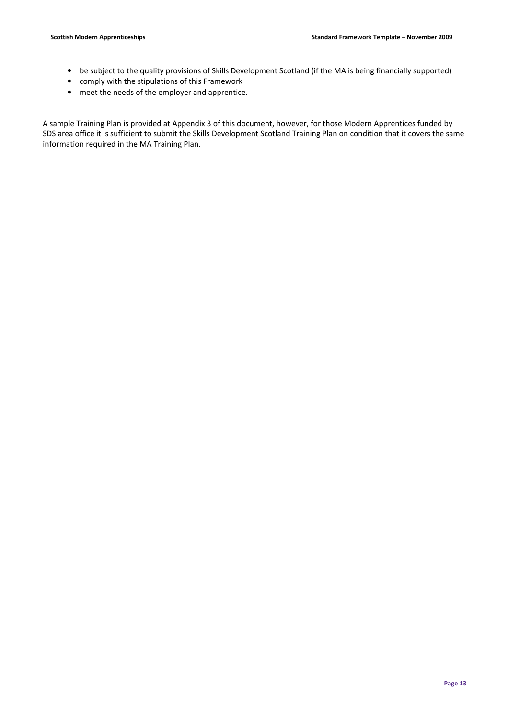- be subject to the quality provisions of Skills Development Scotland (if the MA is being financially supported)
- comply with the stipulations of this Framework
- meet the needs of the employer and apprentice.

A sample Training Plan is provided at Appendix 3 of this document, however, for those Modern Apprentices funded by SDS area office it is sufficient to submit the Skills Development Scotland Training Plan on condition that it covers the same information required in the MA Training Plan.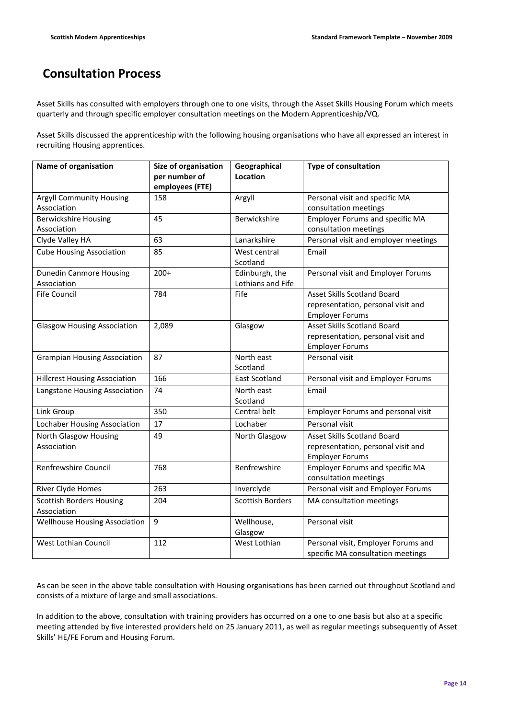# Consultation Process

Asset Skills has consulted with employers through one to one visits, through the Asset Skills Housing Forum which meets quarterly and through specific employer consultation meetings on the Modern Apprenticeship/VQ.

Asset Skills discussed the apprenticeship with the following housing organisations who have all expressed an interest in recruiting Housing apprentices.

| Name of organisation                 | Size of organisation | Geographical            | Type of consultation                      |
|--------------------------------------|----------------------|-------------------------|-------------------------------------------|
|                                      | per number of        | Location                |                                           |
|                                      | employees (FTE)      |                         |                                           |
| <b>Argyll Community Housing</b>      | 158                  | Argyll                  | Personal visit and specific MA            |
| Association                          |                      |                         | consultation meetings                     |
| <b>Berwickshire Housing</b>          | 45                   | Berwickshire            | <b>Employer Forums and specific MA</b>    |
| Association                          |                      |                         | consultation meetings                     |
| Clyde Valley HA                      | 63                   | Lanarkshire             | Personal visit and employer meetings      |
| <b>Cube Housing Association</b>      | 85                   | West central            | Email                                     |
|                                      |                      | Scotland                |                                           |
| <b>Dunedin Canmore Housing</b>       | $200+$               | Edinburgh, the          | Personal visit and Employer Forums        |
| Association                          |                      | Lothians and Fife       |                                           |
| <b>Fife Council</b>                  | 784                  | Fife                    | <b>Asset Skills Scotland Board</b>        |
|                                      |                      |                         | representation, personal visit and        |
|                                      |                      |                         | <b>Employer Forums</b>                    |
| <b>Glasgow Housing Association</b>   | 2,089                | Glasgow                 | <b>Asset Skills Scotland Board</b>        |
|                                      |                      |                         | representation, personal visit and        |
|                                      |                      |                         | <b>Employer Forums</b>                    |
| <b>Grampian Housing Association</b>  | 87                   | North east              | Personal visit                            |
|                                      |                      | Scotland                |                                           |
| <b>Hillcrest Housing Association</b> | 166                  | <b>East Scotland</b>    | Personal visit and Employer Forums        |
| Langstane Housing Association        | 74                   | North east              | Email                                     |
|                                      |                      | Scotland                |                                           |
| Link Group                           | 350                  | Central belt            | <b>Employer Forums and personal visit</b> |
| Lochaber Housing Association         | 17                   | Lochaber                | Personal visit                            |
| North Glasgow Housing                | 49                   | North Glasgow           | <b>Asset Skills Scotland Board</b>        |
| Association                          |                      |                         | representation, personal visit and        |
|                                      |                      |                         | <b>Employer Forums</b>                    |
| Renfrewshire Council                 | 768                  | Renfrewshire            | <b>Employer Forums and specific MA</b>    |
|                                      |                      |                         | consultation meetings                     |
| River Clyde Homes                    | 263                  | Inverclyde              | Personal visit and Employer Forums        |
| <b>Scottish Borders Housing</b>      | 204                  | <b>Scottish Borders</b> | MA consultation meetings                  |
| Association                          |                      |                         |                                           |
| <b>Wellhouse Housing Association</b> | 9                    | Wellhouse,              | Personal visit                            |
|                                      |                      | Glasgow                 |                                           |
| West Lothian Council                 | 112                  | West Lothian            | Personal visit, Employer Forums and       |
|                                      |                      |                         | specific MA consultation meetings         |

As can be seen in the above table consultation with Housing organisations has been carried out throughout Scotland and consists of a mixture of large and small associations.

In addition to the above, consultation with training providers has occurred on a one to one basis but also at a specific meeting attended by five interested providers held on 25 January 2011, as well as regular meetings subsequently of Asset Skills' HE/FE Forum and Housing Forum.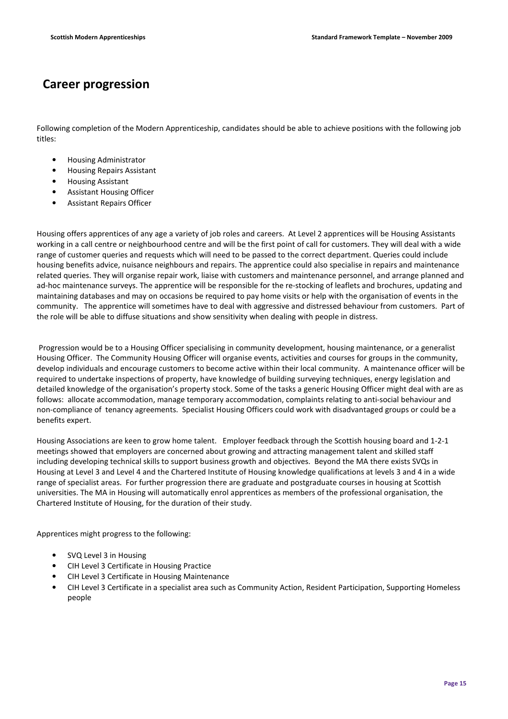## Career progression

Following completion of the Modern Apprenticeship, candidates should be able to achieve positions with the following job titles:

- Housing Administrator
- Housing Repairs Assistant
- Housing Assistant
- Assistant Housing Officer
- Assistant Repairs Officer

Housing offers apprentices of any age a variety of job roles and careers. At Level 2 apprentices will be Housing Assistants working in a call centre or neighbourhood centre and will be the first point of call for customers. They will deal with a wide range of customer queries and requests which will need to be passed to the correct department. Queries could include housing benefits advice, nuisance neighbours and repairs. The apprentice could also specialise in repairs and maintenance related queries. They will organise repair work, liaise with customers and maintenance personnel, and arrange planned and ad-hoc maintenance surveys. The apprentice will be responsible for the re-stocking of leaflets and brochures, updating and maintaining databases and may on occasions be required to pay home visits or help with the organisation of events in the community. The apprentice will sometimes have to deal with aggressive and distressed behaviour from customers. Part of the role will be able to diffuse situations and show sensitivity when dealing with people in distress.

 Progression would be to a Housing Officer specialising in community development, housing maintenance, or a generalist Housing Officer. The Community Housing Officer will organise events, activities and courses for groups in the community, develop individuals and encourage customers to become active within their local community. A maintenance officer will be required to undertake inspections of property, have knowledge of building surveying techniques, energy legislation and detailed knowledge of the organisation's property stock. Some of the tasks a generic Housing Officer might deal with are as follows: allocate accommodation, manage temporary accommodation, complaints relating to anti-social behaviour and non-compliance of tenancy agreements. Specialist Housing Officers could work with disadvantaged groups or could be a benefits expert.

Housing Associations are keen to grow home talent. Employer feedback through the Scottish housing board and 1-2-1 meetings showed that employers are concerned about growing and attracting management talent and skilled staff including developing technical skills to support business growth and objectives. Beyond the MA there exists SVQs in Housing at Level 3 and Level 4 and the Chartered Institute of Housing knowledge qualifications at levels 3 and 4 in a wide range of specialist areas. For further progression there are graduate and postgraduate courses in housing at Scottish universities. The MA in Housing will automatically enrol apprentices as members of the professional organisation, the Chartered Institute of Housing, for the duration of their study.

Apprentices might progress to the following:

- SVQ Level 3 in Housing
- CIH Level 3 Certificate in Housing Practice
- CIH Level 3 Certificate in Housing Maintenance
- CIH Level 3 Certificate in a specialist area such as Community Action, Resident Participation, Supporting Homeless people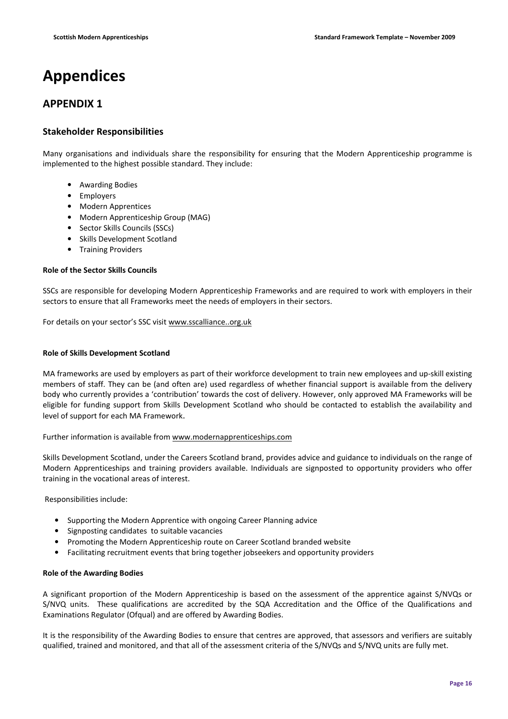# Appendices

## APPENDIX 1

## Stakeholder Responsibilities

Many organisations and individuals share the responsibility for ensuring that the Modern Apprenticeship programme is implemented to the highest possible standard. They include:

- Awarding Bodies
- Employers
- Modern Apprentices
- Modern Apprenticeship Group (MAG)
- Sector Skills Councils (SSCs)
- Skills Development Scotland
- Training Providers

#### Role of the Sector Skills Councils

SSCs are responsible for developing Modern Apprenticeship Frameworks and are required to work with employers in their sectors to ensure that all Frameworks meet the needs of employers in their sectors.

For details on your sector's SSC visit www.sscalliance..org.uk

## Role of Skills Development Scotland

MA frameworks are used by employers as part of their workforce development to train new employees and up-skill existing members of staff. They can be (and often are) used regardless of whether financial support is available from the delivery body who currently provides a 'contribution' towards the cost of delivery. However, only approved MA Frameworks will be eligible for funding support from Skills Development Scotland who should be contacted to establish the availability and level of support for each MA Framework.

Further information is available from www.modernapprenticeships.com

Skills Development Scotland, under the Careers Scotland brand, provides advice and guidance to individuals on the range of Modern Apprenticeships and training providers available. Individuals are signposted to opportunity providers who offer training in the vocational areas of interest.

Responsibilities include:

- Supporting the Modern Apprentice with ongoing Career Planning advice
- Signposting candidates to suitable vacancies
- Promoting the Modern Apprenticeship route on Career Scotland branded website
- Facilitating recruitment events that bring together jobseekers and opportunity providers

## Role of the Awarding Bodies

A significant proportion of the Modern Apprenticeship is based on the assessment of the apprentice against S/NVQs or S/NVQ units. These qualifications are accredited by the SQA Accreditation and the Office of the Qualifications and Examinations Regulator (Ofqual) and are offered by Awarding Bodies.

It is the responsibility of the Awarding Bodies to ensure that centres are approved, that assessors and verifiers are suitably qualified, trained and monitored, and that all of the assessment criteria of the S/NVQs and S/NVQ units are fully met.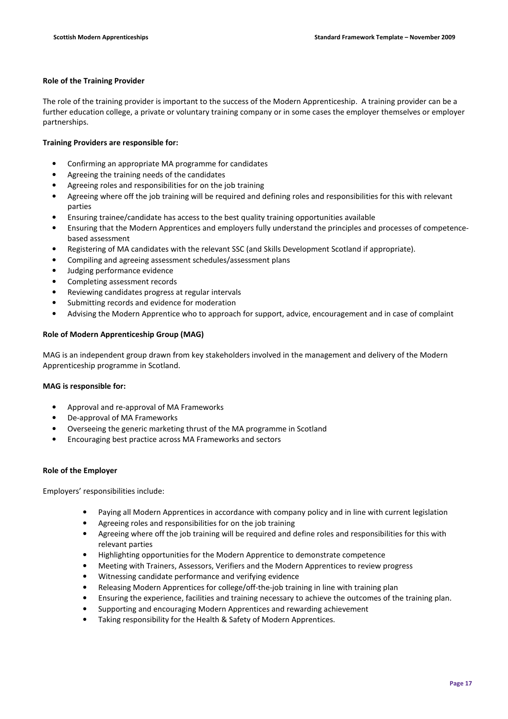## Role of the Training Provider

The role of the training provider is important to the success of the Modern Apprenticeship. A training provider can be a further education college, a private or voluntary training company or in some cases the employer themselves or employer partnerships.

## Training Providers are responsible for:

- Confirming an appropriate MA programme for candidates
- Agreeing the training needs of the candidates
- Agreeing roles and responsibilities for on the job training
- Agreeing where off the job training will be required and defining roles and responsibilities for this with relevant parties
- Ensuring trainee/candidate has access to the best quality training opportunities available
- Ensuring that the Modern Apprentices and employers fully understand the principles and processes of competencebased assessment
- Registering of MA candidates with the relevant SSC (and Skills Development Scotland if appropriate).
- Compiling and agreeing assessment schedules/assessment plans
- Judging performance evidence
- Completing assessment records
- Reviewing candidates progress at regular intervals
- Submitting records and evidence for moderation
- Advising the Modern Apprentice who to approach for support, advice, encouragement and in case of complaint

## Role of Modern Apprenticeship Group (MAG)

MAG is an independent group drawn from key stakeholders involved in the management and delivery of the Modern Apprenticeship programme in Scotland.

## MAG is responsible for:

- Approval and re-approval of MA Frameworks
- De-approval of MA Frameworks
- Overseeing the generic marketing thrust of the MA programme in Scotland
- Encouraging best practice across MA Frameworks and sectors

## Role of the Employer

Employers' responsibilities include:

- Paying all Modern Apprentices in accordance with company policy and in line with current legislation
- Agreeing roles and responsibilities for on the job training
- Agreeing where off the job training will be required and define roles and responsibilities for this with relevant parties
- Highlighting opportunities for the Modern Apprentice to demonstrate competence
- Meeting with Trainers, Assessors, Verifiers and the Modern Apprentices to review progress
- Witnessing candidate performance and verifying evidence
- Releasing Modern Apprentices for college/off-the-job training in line with training plan
- Ensuring the experience, facilities and training necessary to achieve the outcomes of the training plan.
- Supporting and encouraging Modern Apprentices and rewarding achievement
- Taking responsibility for the Health & Safety of Modern Apprentices.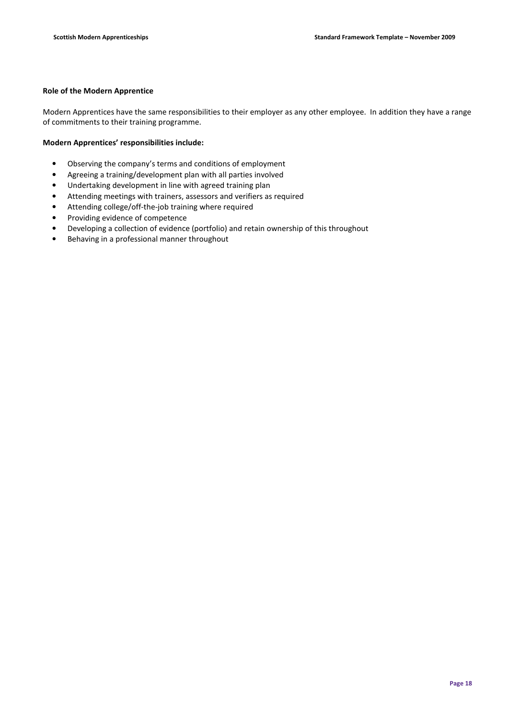## Role of the Modern Apprentice

Modern Apprentices have the same responsibilities to their employer as any other employee. In addition they have a range of commitments to their training programme.

## Modern Apprentices' responsibilities include:

- Observing the company's terms and conditions of employment
- Agreeing a training/development plan with all parties involved
- Undertaking development in line with agreed training plan
- Attending meetings with trainers, assessors and verifiers as required
- Attending college/off-the-job training where required
- Providing evidence of competence
- Developing a collection of evidence (portfolio) and retain ownership of this throughout
- Behaving in a professional manner throughout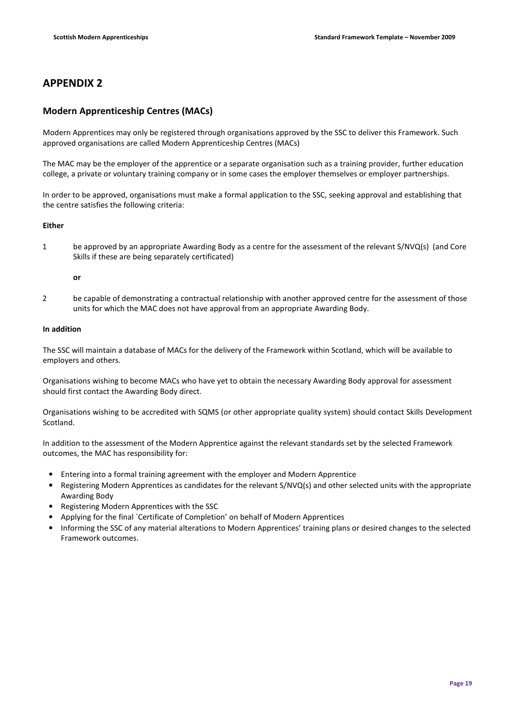## APPENDIX 2

## Modern Apprenticeship Centres (MACs)

Modern Apprentices may only be registered through organisations approved by the SSC to deliver this Framework. Such approved organisations are called Modern Apprenticeship Centres (MACs)

The MAC may be the employer of the apprentice or a separate organisation such as a training provider, further education college, a private or voluntary training company or in some cases the employer themselves or employer partnerships.

In order to be approved, organisations must make a formal application to the SSC, seeking approval and establishing that the centre satisfies the following criteria:

## Either

1 be approved by an appropriate Awarding Body as a centre for the assessment of the relevant S/NVQ(s) (and Core Skills if these are being separately certificated)

## or

2 be capable of demonstrating a contractual relationship with another approved centre for the assessment of those units for which the MAC does not have approval from an appropriate Awarding Body.

## In addition

The SSC will maintain a database of MACs for the delivery of the Framework within Scotland, which will be available to employers and others.

Organisations wishing to become MACs who have yet to obtain the necessary Awarding Body approval for assessment should first contact the Awarding Body direct.

Organisations wishing to be accredited with SQMS (or other appropriate quality system) should contact Skills Development Scotland.

In addition to the assessment of the Modern Apprentice against the relevant standards set by the selected Framework outcomes, the MAC has responsibility for:

- Entering into a formal training agreement with the employer and Modern Apprentice
- Registering Modern Apprentices as candidates for the relevant S/NVQ(s) and other selected units with the appropriate Awarding Body
- Registering Modern Apprentices with the SSC
- Applying for the final `Certificate of Completion' on behalf of Modern Apprentices
- Informing the SSC of any material alterations to Modern Apprentices' training plans or desired changes to the selected Framework outcomes.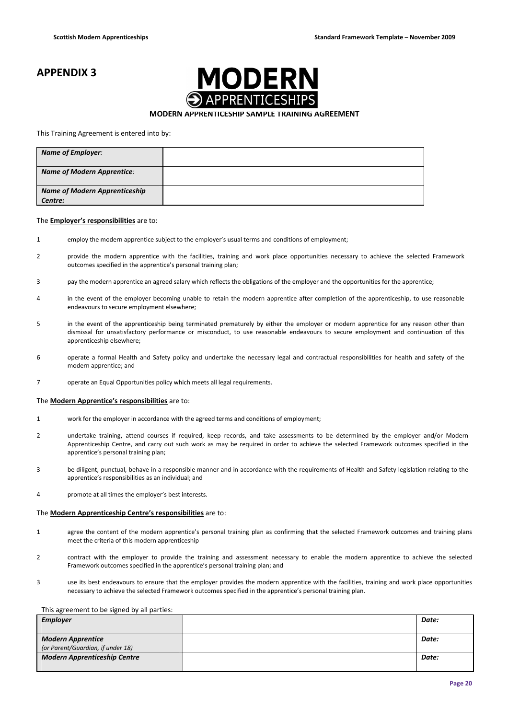## APPENDIX 3



## MODERN APPRENTICESHIP SAMPLE TRAINING AGREEMENT

#### This Training Agreement is entered into by:

| <b>Name of Employer:</b>                        |  |
|-------------------------------------------------|--|
| <b>Name of Modern Apprentice:</b>               |  |
| <b>Name of Modern Apprenticeship</b><br>Centre: |  |

#### The Employer's responsibilities are to:

- 1 employ the modern apprentice subject to the employer's usual terms and conditions of employment;
- 2 provide the modern apprentice with the facilities, training and work place opportunities necessary to achieve the selected Framework outcomes specified in the apprentice's personal training plan;
- 3 pay the modern apprentice an agreed salary which reflects the obligations of the employer and the opportunities for the apprentice;
- 4 in the event of the employer becoming unable to retain the modern apprentice after completion of the apprenticeship, to use reasonable endeavours to secure employment elsewhere;
- 5 in the event of the apprenticeship being terminated prematurely by either the employer or modern apprentice for any reason other than dismissal for unsatisfactory performance or misconduct, to use reasonable endeavours to secure employment and continuation of this apprenticeship elsewhere;
- 6 operate a formal Health and Safety policy and undertake the necessary legal and contractual responsibilities for health and safety of the modern apprentice; and
- 7 operate an Equal Opportunities policy which meets all legal requirements.

#### The **Modern Apprentice's responsibilities** are to:

- 1 work for the employer in accordance with the agreed terms and conditions of employment;
- 2 undertake training, attend courses if required, keep records, and take assessments to be determined by the employer and/or Modern Apprenticeship Centre, and carry out such work as may be required in order to achieve the selected Framework outcomes specified in the apprentice's personal training plan;
- 3 be diligent, punctual, behave in a responsible manner and in accordance with the requirements of Health and Safety legislation relating to the apprentice's responsibilities as an individual; and
- 4 promote at all times the employer's best interests.

#### The Modern Apprenticeship Centre's responsibilities are to:

- 1 agree the content of the modern apprentice's personal training plan as confirming that the selected Framework outcomes and training plans meet the criteria of this modern apprenticeship
- 2 contract with the employer to provide the training and assessment necessary to enable the modern apprentice to achieve the selected Framework outcomes specified in the apprentice's personal training plan; and
- 3 use its best endeavours to ensure that the employer provides the modern apprentice with the facilities, training and work place opportunities necessary to achieve the selected Framework outcomes specified in the apprentice's personal training plan.

#### This agreement to be signed by all parties:

| <b>Employer</b>                     | Date: |
|-------------------------------------|-------|
|                                     |       |
| <b>Modern Apprentice</b>            | Date: |
| (or Parent/Guardian, if under 18)   |       |
| <b>Modern Apprenticeship Centre</b> | Date: |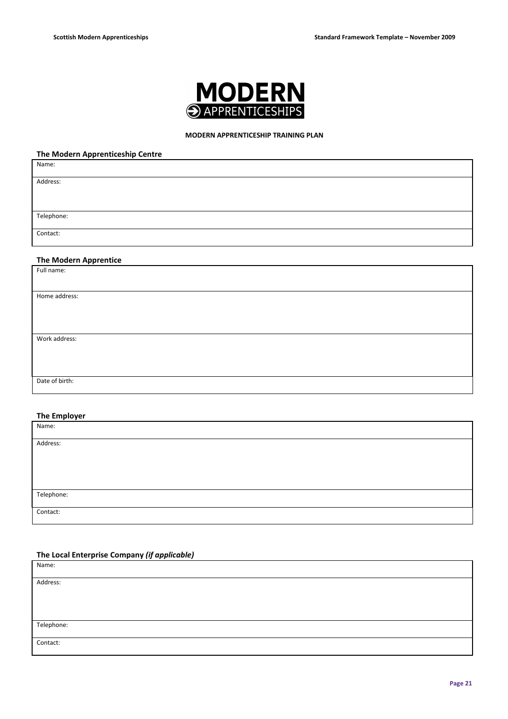

## MODERN APPRENTICESHIP TRAINING PLAN

## The Modern Apprenticeship Centre

| Name:                 |  |
|-----------------------|--|
| Address:              |  |
|                       |  |
| Telephone:            |  |
| Contact:              |  |
|                       |  |
| The Modern Apprentice |  |
| Full name:            |  |
| Home address:         |  |
|                       |  |
|                       |  |
| Work address:         |  |
|                       |  |
|                       |  |
| Date of birth:        |  |

## The Employer

| the contract of the contract of the contract of the contract of the contract of<br>Name: |  |
|------------------------------------------------------------------------------------------|--|
|                                                                                          |  |
| Address:                                                                                 |  |
|                                                                                          |  |
|                                                                                          |  |
|                                                                                          |  |
|                                                                                          |  |
|                                                                                          |  |
| Telephone:                                                                               |  |
|                                                                                          |  |
|                                                                                          |  |
| Contact:                                                                                 |  |
|                                                                                          |  |

## The Local Enterprise Company (if applicable)

| Name:      |  |
|------------|--|
|            |  |
| Address:   |  |
|            |  |
|            |  |
|            |  |
|            |  |
| Telephone: |  |
|            |  |
| Contact:   |  |
|            |  |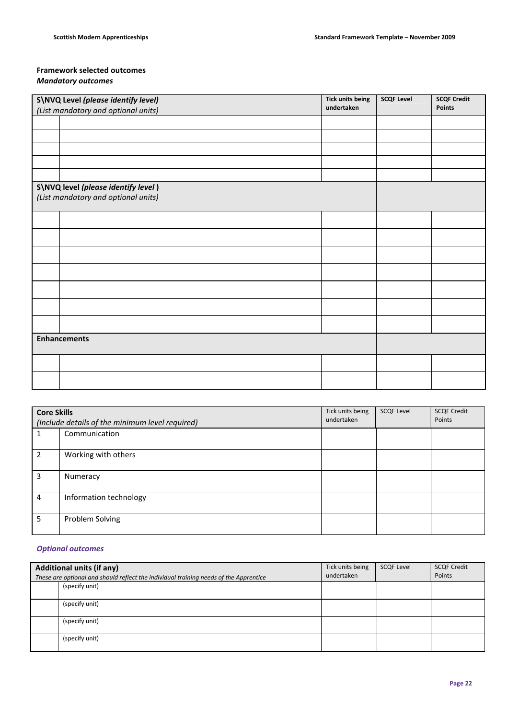## Framework selected outcomes Mandatory outcomes

| S\NVQ Level (please identify level) |                                     | <b>Tick units being</b><br>undertaken | <b>SCQF Level</b> | <b>SCQF Credit</b><br><b>Points</b> |
|-------------------------------------|-------------------------------------|---------------------------------------|-------------------|-------------------------------------|
|                                     | (List mandatory and optional units) |                                       |                   |                                     |
|                                     |                                     |                                       |                   |                                     |
|                                     |                                     |                                       |                   |                                     |
|                                     |                                     |                                       |                   |                                     |
|                                     |                                     |                                       |                   |                                     |
|                                     |                                     |                                       |                   |                                     |
|                                     | S\NVQ level (please identify level) |                                       |                   |                                     |
|                                     | (List mandatory and optional units) |                                       |                   |                                     |
|                                     |                                     |                                       |                   |                                     |
|                                     |                                     |                                       |                   |                                     |
|                                     |                                     |                                       |                   |                                     |
|                                     |                                     |                                       |                   |                                     |
|                                     |                                     |                                       |                   |                                     |
|                                     |                                     |                                       |                   |                                     |
|                                     |                                     |                                       |                   |                                     |
| <b>Enhancements</b>                 |                                     |                                       |                   |                                     |
|                                     |                                     |                                       |                   |                                     |
|                                     |                                     |                                       |                   |                                     |

| <b>Core Skills</b><br>(Include details of the minimum level required) |                        | Tick units being<br>undertaken | <b>SCQF Level</b> | <b>SCQF Credit</b><br>Points |
|-----------------------------------------------------------------------|------------------------|--------------------------------|-------------------|------------------------------|
|                                                                       | Communication          |                                |                   |                              |
| 2                                                                     | Working with others    |                                |                   |                              |
| 3                                                                     | Numeracy               |                                |                   |                              |
| 4                                                                     | Information technology |                                |                   |                              |
| 5                                                                     | Problem Solving        |                                |                   |                              |

## Optional outcomes

| <b>Additional units (if any)</b>                                                      |                | Tick units being<br>undertaken | <b>SCQF Level</b> | <b>SCQF Credit</b><br>Points |
|---------------------------------------------------------------------------------------|----------------|--------------------------------|-------------------|------------------------------|
| These are optional and should reflect the individual training needs of the Apprentice |                |                                |                   |                              |
|                                                                                       | (specify unit) |                                |                   |                              |
|                                                                                       |                |                                |                   |                              |
|                                                                                       | (specify unit) |                                |                   |                              |
|                                                                                       |                |                                |                   |                              |
|                                                                                       | (specify unit) |                                |                   |                              |
|                                                                                       |                |                                |                   |                              |
|                                                                                       | (specify unit) |                                |                   |                              |
|                                                                                       |                |                                |                   |                              |